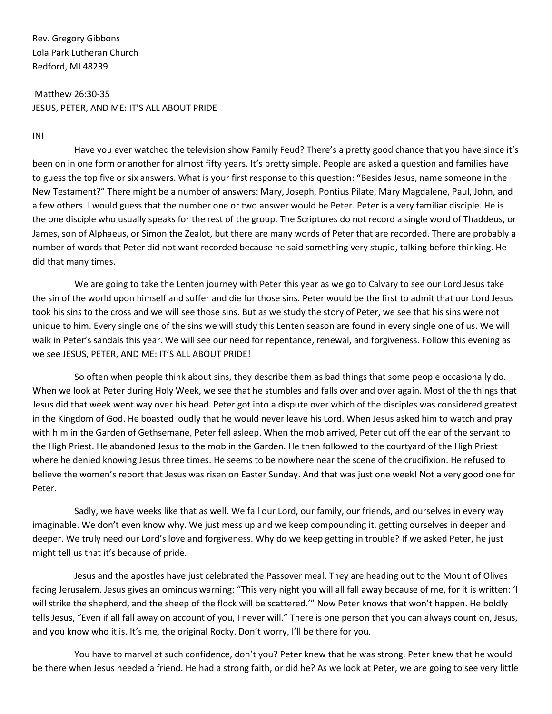Rev. Gregory Gibbons Lola Park Lutheran Church Redford, MI 48239

## Matthew 26:30-35 JESUS, PETER, AND ME: IT'S ALL ABOUT PRIDE

INI

Have you ever watched the television show Family Feud? There's a pretty good chance that you have since it's been on in one form or another for almost fifty years. It's pretty simple. People are asked a question and families have to guess the top five or six answers. What is your first response to this question: "Besides Jesus, name someone in the New Testament?" There might be a number of answers: Mary, Joseph, Pontius Pilate, Mary Magdalene, Paul, John, and a few others. I would guess that the number one or two answer would be Peter. Peter is a very familiar disciple. He is the one disciple who usually speaks for the rest of the group. The Scriptures do not record a single word of Thaddeus, or James, son of Alphaeus, or Simon the Zealot, but there are many words of Peter that are recorded. There are probably a number of words that Peter did not want recorded because he said something very stupid, talking before thinking. He did that many times.

We are going to take the Lenten journey with Peter this year as we go to Calvary to see our Lord Jesus take the sin of the world upon himself and suffer and die for those sins. Peter would be the first to admit that our Lord Jesus took his sins to the cross and we will see those sins. But as we study the story of Peter, we see that his sins were not unique to him. Every single one of the sins we will study this Lenten season are found in every single one of us. We will walk in Peter's sandals this year. We will see our need for repentance, renewal, and forgiveness. Follow this evening as we see JESUS, PETER, AND ME: IT'S ALL ABOUT PRIDE!

So often when people think about sins, they describe them as bad things that some people occasionally do. When we look at Peter during Holy Week, we see that he stumbles and falls over and over again. Most of the things that Jesus did that week went way over his head. Peter got into a dispute over which of the disciples was considered greatest in the Kingdom of God. He boasted loudly that he would never leave his Lord. When Jesus asked him to watch and pray with him in the Garden of Gethsemane, Peter fell asleep. When the mob arrived, Peter cut off the ear of the servant to the High Priest. He abandoned Jesus to the mob in the Garden. He then followed to the courtyard of the High Priest where he denied knowing Jesus three times. He seems to be nowhere near the scene of the crucifixion. He refused to believe the women's report that Jesus was risen on Easter Sunday. And that was just one week! Not a very good one for Peter.

Sadly, we have weeks like that as well. We fail our Lord, our family, our friends, and ourselves in every way imaginable. We don't even know why. We just mess up and we keep compounding it, getting ourselves in deeper and deeper. We truly need our Lord's love and forgiveness. Why do we keep getting in trouble? If we asked Peter, he just might tell us that it's because of pride.

Jesus and the apostles have just celebrated the Passover meal. They are heading out to the Mount of Olives facing Jerusalem. Jesus gives an ominous warning: "This very night you will all fall away because of me, for it is written: 'I will strike the shepherd, and the sheep of the flock will be scattered.'" Now Peter knows that won't happen. He boldly tells Jesus, "Even if all fall away on account of you, I never will." There is one person that you can always count on, Jesus, and you know who it is. It's me, the original Rocky. Don't worry, I'll be there for you.

You have to marvel at such confidence, don't you? Peter knew that he was strong. Peter knew that he would be there when Jesus needed a friend. He had a strong faith, or did he? As we look at Peter, we are going to see very little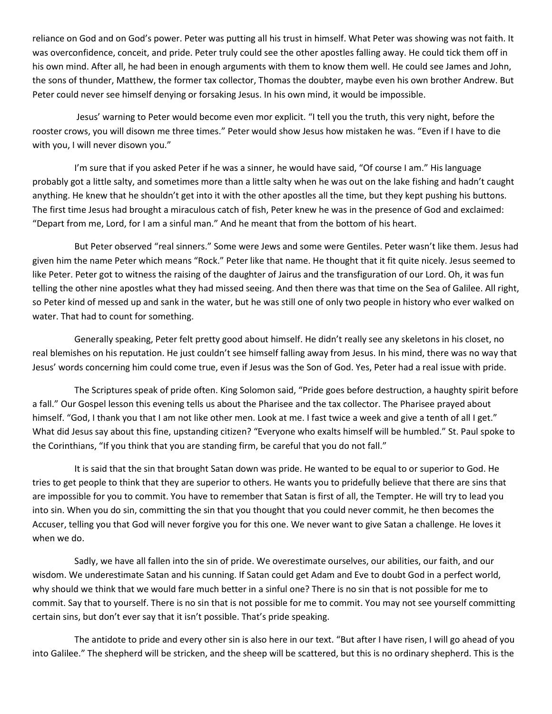reliance on God and on God's power. Peter was putting all his trust in himself. What Peter was showing was not faith. It was overconfidence, conceit, and pride. Peter truly could see the other apostles falling away. He could tick them off in his own mind. After all, he had been in enough arguments with them to know them well. He could see James and John, the sons of thunder, Matthew, the former tax collector, Thomas the doubter, maybe even his own brother Andrew. But Peter could never see himself denying or forsaking Jesus. In his own mind, it would be impossible.

Jesus' warning to Peter would become even mor explicit. "I tell you the truth, this very night, before the rooster crows, you will disown me three times." Peter would show Jesus how mistaken he was. "Even if I have to die with you, I will never disown you."

I'm sure that if you asked Peter if he was a sinner, he would have said, "Of course I am." His language probably got a little salty, and sometimes more than a little salty when he was out on the lake fishing and hadn't caught anything. He knew that he shouldn't get into it with the other apostles all the time, but they kept pushing his buttons. The first time Jesus had brought a miraculous catch of fish, Peter knew he was in the presence of God and exclaimed: "Depart from me, Lord, for I am a sinful man." And he meant that from the bottom of his heart.

But Peter observed "real sinners." Some were Jews and some were Gentiles. Peter wasn't like them. Jesus had given him the name Peter which means "Rock." Peter like that name. He thought that it fit quite nicely. Jesus seemed to like Peter. Peter got to witness the raising of the daughter of Jairus and the transfiguration of our Lord. Oh, it was fun telling the other nine apostles what they had missed seeing. And then there was that time on the Sea of Galilee. All right, so Peter kind of messed up and sank in the water, but he was still one of only two people in history who ever walked on water. That had to count for something.

Generally speaking, Peter felt pretty good about himself. He didn't really see any skeletons in his closet, no real blemishes on his reputation. He just couldn't see himself falling away from Jesus. In his mind, there was no way that Jesus' words concerning him could come true, even if Jesus was the Son of God. Yes, Peter had a real issue with pride.

The Scriptures speak of pride often. King Solomon said, "Pride goes before destruction, a haughty spirit before a fall." Our Gospel lesson this evening tells us about the Pharisee and the tax collector. The Pharisee prayed about himself. "God, I thank you that I am not like other men. Look at me. I fast twice a week and give a tenth of all I get." What did Jesus say about this fine, upstanding citizen? "Everyone who exalts himself will be humbled." St. Paul spoke to the Corinthians, "If you think that you are standing firm, be careful that you do not fall."

It is said that the sin that brought Satan down was pride. He wanted to be equal to or superior to God. He tries to get people to think that they are superior to others. He wants you to pridefully believe that there are sins that are impossible for you to commit. You have to remember that Satan is first of all, the Tempter. He will try to lead you into sin. When you do sin, committing the sin that you thought that you could never commit, he then becomes the Accuser, telling you that God will never forgive you for this one. We never want to give Satan a challenge. He loves it when we do.

Sadly, we have all fallen into the sin of pride. We overestimate ourselves, our abilities, our faith, and our wisdom. We underestimate Satan and his cunning. If Satan could get Adam and Eve to doubt God in a perfect world, why should we think that we would fare much better in a sinful one? There is no sin that is not possible for me to commit. Say that to yourself. There is no sin that is not possible for me to commit. You may not see yourself committing certain sins, but don't ever say that it isn't possible. That's pride speaking.

The antidote to pride and every other sin is also here in our text. "But after I have risen, I will go ahead of you into Galilee." The shepherd will be stricken, and the sheep will be scattered, but this is no ordinary shepherd. This is the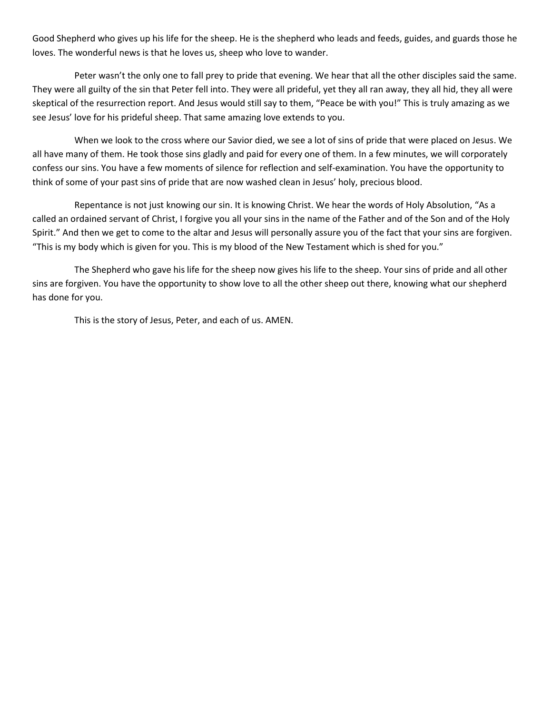Good Shepherd who gives up his life for the sheep. He is the shepherd who leads and feeds, guides, and guards those he loves. The wonderful news is that he loves us, sheep who love to wander.

Peter wasn't the only one to fall prey to pride that evening. We hear that all the other disciples said the same. They were all guilty of the sin that Peter fell into. They were all prideful, yet they all ran away, they all hid, they all were skeptical of the resurrection report. And Jesus would still say to them, "Peace be with you!" This is truly amazing as we see Jesus' love for his prideful sheep. That same amazing love extends to you.

When we look to the cross where our Savior died, we see a lot of sins of pride that were placed on Jesus. We all have many of them. He took those sins gladly and paid for every one of them. In a few minutes, we will corporately confess our sins. You have a few moments of silence for reflection and self-examination. You have the opportunity to think of some of your past sins of pride that are now washed clean in Jesus' holy, precious blood.

Repentance is not just knowing our sin. It is knowing Christ. We hear the words of Holy Absolution, "As a called an ordained servant of Christ, I forgive you all your sins in the name of the Father and of the Son and of the Holy Spirit." And then we get to come to the altar and Jesus will personally assure you of the fact that your sins are forgiven. "This is my body which is given for you. This is my blood of the New Testament which is shed for you."

The Shepherd who gave his life for the sheep now gives his life to the sheep. Your sins of pride and all other sins are forgiven. You have the opportunity to show love to all the other sheep out there, knowing what our shepherd has done for you.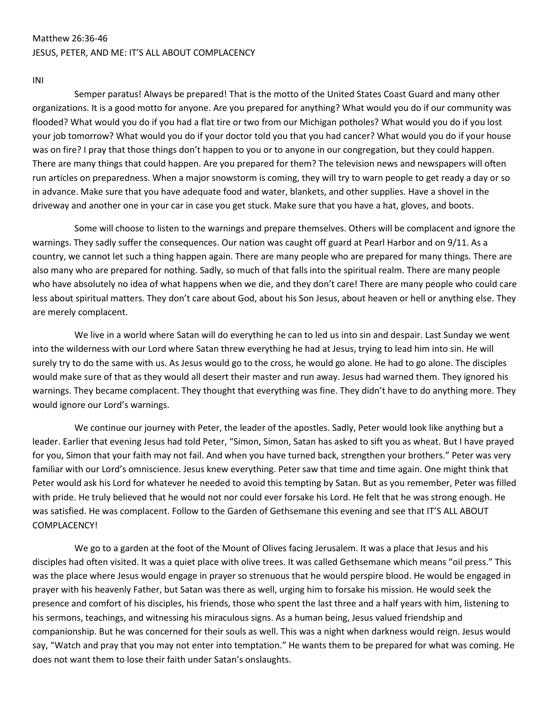### Matthew 26:36-46 JESUS, PETER, AND ME: IT'S ALL ABOUT COMPLACENCY

INI

Semper paratus! Always be prepared! That is the motto of the United States Coast Guard and many other organizations. It is a good motto for anyone. Are you prepared for anything? What would you do if our community was flooded? What would you do if you had a flat tire or two from our Michigan potholes? What would you do if you lost your job tomorrow? What would you do if your doctor told you that you had cancer? What would you do if your house was on fire? I pray that those things don't happen to you or to anyone in our congregation, but they could happen. There are many things that could happen. Are you prepared for them? The television news and newspapers will often run articles on preparedness. When a major snowstorm is coming, they will try to warn people to get ready a day or so in advance. Make sure that you have adequate food and water, blankets, and other supplies. Have a shovel in the driveway and another one in your car in case you get stuck. Make sure that you have a hat, gloves, and boots.

Some will choose to listen to the warnings and prepare themselves. Others will be complacent and ignore the warnings. They sadly suffer the consequences. Our nation was caught off guard at Pearl Harbor and on 9/11. As a country, we cannot let such a thing happen again. There are many people who are prepared for many things. There are also many who are prepared for nothing. Sadly, so much of that falls into the spiritual realm. There are many people who have absolutely no idea of what happens when we die, and they don't care! There are many people who could care less about spiritual matters. They don't care about God, about his Son Jesus, about heaven or hell or anything else. They are merely complacent.

We live in a world where Satan will do everything he can to led us into sin and despair. Last Sunday we went into the wilderness with our Lord where Satan threw everything he had at Jesus, trying to lead him into sin. He will surely try to do the same with us. As Jesus would go to the cross, he would go alone. He had to go alone. The disciples would make sure of that as they would all desert their master and run away. Jesus had warned them. They ignored his warnings. They became complacent. They thought that everything was fine. They didn't have to do anything more. They would ignore our Lord's warnings.

We continue our journey with Peter, the leader of the apostles. Sadly, Peter would look like anything but a leader. Earlier that evening Jesus had told Peter, "Simon, Simon, Satan has asked to sift you as wheat. But I have prayed for you, Simon that your faith may not fail. And when you have turned back, strengthen your brothers." Peter was very familiar with our Lord's omniscience. Jesus knew everything. Peter saw that time and time again. One might think that Peter would ask his Lord for whatever he needed to avoid this tempting by Satan. But as you remember, Peter was filled with pride. He truly believed that he would not nor could ever forsake his Lord. He felt that he was strong enough. He was satisfied. He was complacent. Follow to the Garden of Gethsemane this evening and see that IT'S ALL ABOUT COMPLACENCY!

We go to a garden at the foot of the Mount of Olives facing Jerusalem. It was a place that Jesus and his disciples had often visited. It was a quiet place with olive trees. It was called Gethsemane which means "oil press." This was the place where Jesus would engage in prayer so strenuous that he would perspire blood. He would be engaged in prayer with his heavenly Father, but Satan was there as well, urging him to forsake his mission. He would seek the presence and comfort of his disciples, his friends, those who spent the last three and a half years with him, listening to his sermons, teachings, and witnessing his miraculous signs. As a human being, Jesus valued friendship and companionship. But he was concerned for their souls as well. This was a night when darkness would reign. Jesus would say, "Watch and pray that you may not enter into temptation." He wants them to be prepared for what was coming. He does not want them to lose their faith under Satan's onslaughts.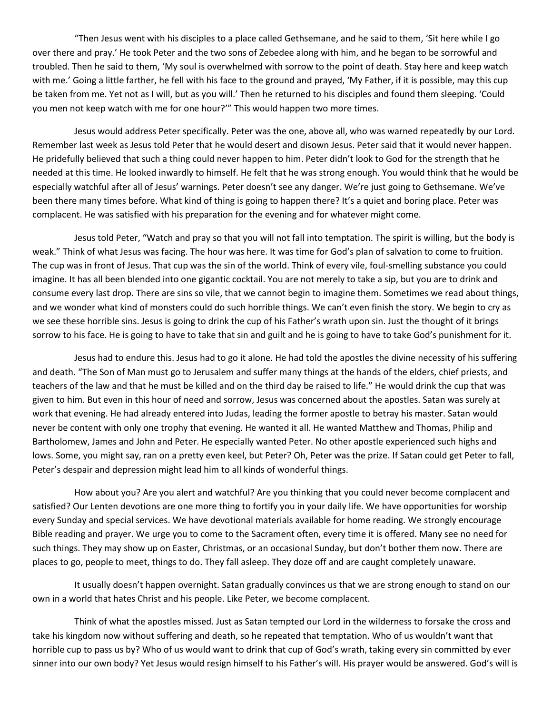"Then Jesus went with his disciples to a place called Gethsemane, and he said to them, 'Sit here while I go over there and pray.' He took Peter and the two sons of Zebedee along with him, and he began to be sorrowful and troubled. Then he said to them, 'My soul is overwhelmed with sorrow to the point of death. Stay here and keep watch with me.' Going a little farther, he fell with his face to the ground and prayed, 'My Father, if it is possible, may this cup be taken from me. Yet not as I will, but as you will.' Then he returned to his disciples and found them sleeping. 'Could you men not keep watch with me for one hour?'" This would happen two more times.

Jesus would address Peter specifically. Peter was the one, above all, who was warned repeatedly by our Lord. Remember last week as Jesus told Peter that he would desert and disown Jesus. Peter said that it would never happen. He pridefully believed that such a thing could never happen to him. Peter didn't look to God for the strength that he needed at this time. He looked inwardly to himself. He felt that he was strong enough. You would think that he would be especially watchful after all of Jesus' warnings. Peter doesn't see any danger. We're just going to Gethsemane. We've been there many times before. What kind of thing is going to happen there? It's a quiet and boring place. Peter was complacent. He was satisfied with his preparation for the evening and for whatever might come.

Jesus told Peter, "Watch and pray so that you will not fall into temptation. The spirit is willing, but the body is weak." Think of what Jesus was facing. The hour was here. It was time for God's plan of salvation to come to fruition. The cup was in front of Jesus. That cup was the sin of the world. Think of every vile, foul-smelling substance you could imagine. It has all been blended into one gigantic cocktail. You are not merely to take a sip, but you are to drink and consume every last drop. There are sins so vile, that we cannot begin to imagine them. Sometimes we read about things, and we wonder what kind of monsters could do such horrible things. We can't even finish the story. We begin to cry as we see these horrible sins. Jesus is going to drink the cup of his Father's wrath upon sin. Just the thought of it brings sorrow to his face. He is going to have to take that sin and guilt and he is going to have to take God's punishment for it.

Jesus had to endure this. Jesus had to go it alone. He had told the apostles the divine necessity of his suffering and death. "The Son of Man must go to Jerusalem and suffer many things at the hands of the elders, chief priests, and teachers of the law and that he must be killed and on the third day be raised to life." He would drink the cup that was given to him. But even in this hour of need and sorrow, Jesus was concerned about the apostles. Satan was surely at work that evening. He had already entered into Judas, leading the former apostle to betray his master. Satan would never be content with only one trophy that evening. He wanted it all. He wanted Matthew and Thomas, Philip and Bartholomew, James and John and Peter. He especially wanted Peter. No other apostle experienced such highs and lows. Some, you might say, ran on a pretty even keel, but Peter? Oh, Peter was the prize. If Satan could get Peter to fall, Peter's despair and depression might lead him to all kinds of wonderful things.

How about you? Are you alert and watchful? Are you thinking that you could never become complacent and satisfied? Our Lenten devotions are one more thing to fortify you in your daily life. We have opportunities for worship every Sunday and special services. We have devotional materials available for home reading. We strongly encourage Bible reading and prayer. We urge you to come to the Sacrament often, every time it is offered. Many see no need for such things. They may show up on Easter, Christmas, or an occasional Sunday, but don't bother them now. There are places to go, people to meet, things to do. They fall asleep. They doze off and are caught completely unaware.

It usually doesn't happen overnight. Satan gradually convinces us that we are strong enough to stand on our own in a world that hates Christ and his people. Like Peter, we become complacent.

Think of what the apostles missed. Just as Satan tempted our Lord in the wilderness to forsake the cross and take his kingdom now without suffering and death, so he repeated that temptation. Who of us wouldn't want that horrible cup to pass us by? Who of us would want to drink that cup of God's wrath, taking every sin committed by ever sinner into our own body? Yet Jesus would resign himself to his Father's will. His prayer would be answered. God's will is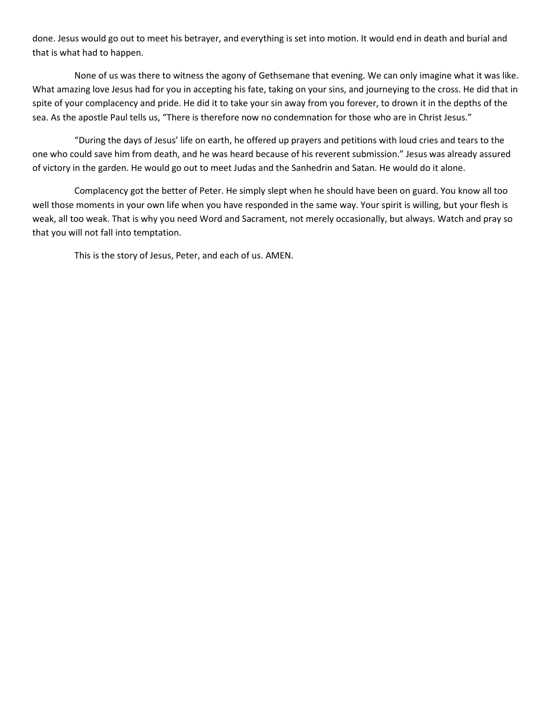done. Jesus would go out to meet his betrayer, and everything is set into motion. It would end in death and burial and that is what had to happen.

None of us was there to witness the agony of Gethsemane that evening. We can only imagine what it was like. What amazing love Jesus had for you in accepting his fate, taking on your sins, and journeying to the cross. He did that in spite of your complacency and pride. He did it to take your sin away from you forever, to drown it in the depths of the sea. As the apostle Paul tells us, "There is therefore now no condemnation for those who are in Christ Jesus."

"During the days of Jesus' life on earth, he offered up prayers and petitions with loud cries and tears to the one who could save him from death, and he was heard because of his reverent submission." Jesus was already assured of victory in the garden. He would go out to meet Judas and the Sanhedrin and Satan. He would do it alone.

Complacency got the better of Peter. He simply slept when he should have been on guard. You know all too well those moments in your own life when you have responded in the same way. Your spirit is willing, but your flesh is weak, all too weak. That is why you need Word and Sacrament, not merely occasionally, but always. Watch and pray so that you will not fall into temptation.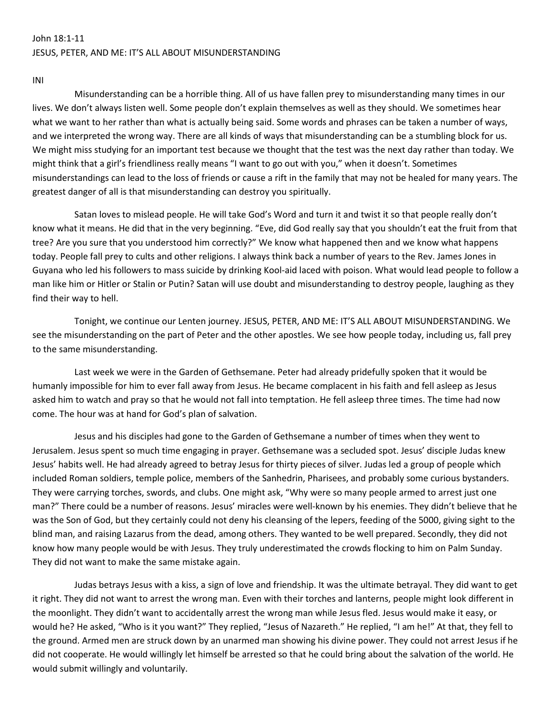## John 18:1-11 JESUS, PETER, AND ME: IT'S ALL ABOUT MISUNDERSTANDING

INI

Misunderstanding can be a horrible thing. All of us have fallen prey to misunderstanding many times in our lives. We don't always listen well. Some people don't explain themselves as well as they should. We sometimes hear what we want to her rather than what is actually being said. Some words and phrases can be taken a number of ways, and we interpreted the wrong way. There are all kinds of ways that misunderstanding can be a stumbling block for us. We might miss studying for an important test because we thought that the test was the next day rather than today. We might think that a girl's friendliness really means "I want to go out with you," when it doesn't. Sometimes misunderstandings can lead to the loss of friends or cause a rift in the family that may not be healed for many years. The greatest danger of all is that misunderstanding can destroy you spiritually.

Satan loves to mislead people. He will take God's Word and turn it and twist it so that people really don't know what it means. He did that in the very beginning. "Eve, did God really say that you shouldn't eat the fruit from that tree? Are you sure that you understood him correctly?" We know what happened then and we know what happens today. People fall prey to cults and other religions. I always think back a number of years to the Rev. James Jones in Guyana who led his followers to mass suicide by drinking Kool-aid laced with poison. What would lead people to follow a man like him or Hitler or Stalin or Putin? Satan will use doubt and misunderstanding to destroy people, laughing as they find their way to hell.

Tonight, we continue our Lenten journey. JESUS, PETER, AND ME: IT'S ALL ABOUT MISUNDERSTANDING. We see the misunderstanding on the part of Peter and the other apostles. We see how people today, including us, fall prey to the same misunderstanding.

Last week we were in the Garden of Gethsemane. Peter had already pridefully spoken that it would be humanly impossible for him to ever fall away from Jesus. He became complacent in his faith and fell asleep as Jesus asked him to watch and pray so that he would not fall into temptation. He fell asleep three times. The time had now come. The hour was at hand for God's plan of salvation.

Jesus and his disciples had gone to the Garden of Gethsemane a number of times when they went to Jerusalem. Jesus spent so much time engaging in prayer. Gethsemane was a secluded spot. Jesus' disciple Judas knew Jesus' habits well. He had already agreed to betray Jesus for thirty pieces of silver. Judas led a group of people which included Roman soldiers, temple police, members of the Sanhedrin, Pharisees, and probably some curious bystanders. They were carrying torches, swords, and clubs. One might ask, "Why were so many people armed to arrest just one man?" There could be a number of reasons. Jesus' miracles were well-known by his enemies. They didn't believe that he was the Son of God, but they certainly could not deny his cleansing of the lepers, feeding of the 5000, giving sight to the blind man, and raising Lazarus from the dead, among others. They wanted to be well prepared. Secondly, they did not know how many people would be with Jesus. They truly underestimated the crowds flocking to him on Palm Sunday. They did not want to make the same mistake again.

Judas betrays Jesus with a kiss, a sign of love and friendship. It was the ultimate betrayal. They did want to get it right. They did not want to arrest the wrong man. Even with their torches and lanterns, people might look different in the moonlight. They didn't want to accidentally arrest the wrong man while Jesus fled. Jesus would make it easy, or would he? He asked, "Who is it you want?" They replied, "Jesus of Nazareth." He replied, "I am he!" At that, they fell to the ground. Armed men are struck down by an unarmed man showing his divine power. They could not arrest Jesus if he did not cooperate. He would willingly let himself be arrested so that he could bring about the salvation of the world. He would submit willingly and voluntarily.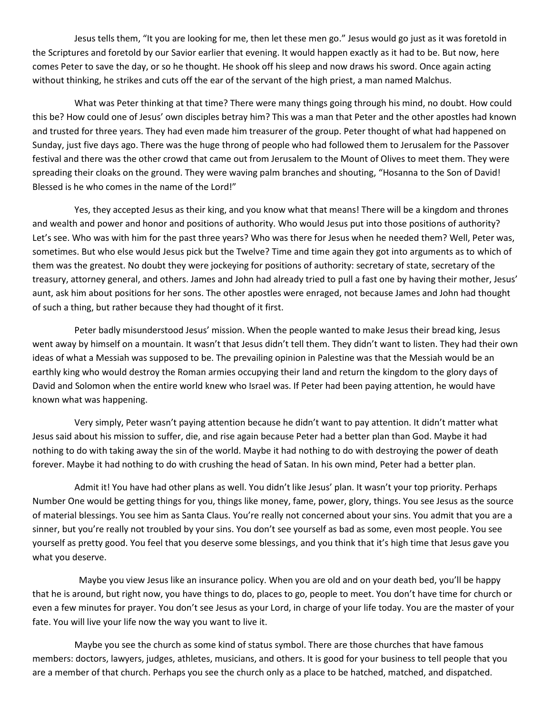Jesus tells them, "It you are looking for me, then let these men go." Jesus would go just as it was foretold in the Scriptures and foretold by our Savior earlier that evening. It would happen exactly as it had to be. But now, here comes Peter to save the day, or so he thought. He shook off his sleep and now draws his sword. Once again acting without thinking, he strikes and cuts off the ear of the servant of the high priest, a man named Malchus.

What was Peter thinking at that time? There were many things going through his mind, no doubt. How could this be? How could one of Jesus' own disciples betray him? This was a man that Peter and the other apostles had known and trusted for three years. They had even made him treasurer of the group. Peter thought of what had happened on Sunday, just five days ago. There was the huge throng of people who had followed them to Jerusalem for the Passover festival and there was the other crowd that came out from Jerusalem to the Mount of Olives to meet them. They were spreading their cloaks on the ground. They were waving palm branches and shouting, "Hosanna to the Son of David! Blessed is he who comes in the name of the Lord!"

Yes, they accepted Jesus as their king, and you know what that means! There will be a kingdom and thrones and wealth and power and honor and positions of authority. Who would Jesus put into those positions of authority? Let's see. Who was with him for the past three years? Who was there for Jesus when he needed them? Well, Peter was, sometimes. But who else would Jesus pick but the Twelve? Time and time again they got into arguments as to which of them was the greatest. No doubt they were jockeying for positions of authority: secretary of state, secretary of the treasury, attorney general, and others. James and John had already tried to pull a fast one by having their mother, Jesus' aunt, ask him about positions for her sons. The other apostles were enraged, not because James and John had thought of such a thing, but rather because they had thought of it first.

Peter badly misunderstood Jesus' mission. When the people wanted to make Jesus their bread king, Jesus went away by himself on a mountain. It wasn't that Jesus didn't tell them. They didn't want to listen. They had their own ideas of what a Messiah was supposed to be. The prevailing opinion in Palestine was that the Messiah would be an earthly king who would destroy the Roman armies occupying their land and return the kingdom to the glory days of David and Solomon when the entire world knew who Israel was. If Peter had been paying attention, he would have known what was happening.

Very simply, Peter wasn't paying attention because he didn't want to pay attention. It didn't matter what Jesus said about his mission to suffer, die, and rise again because Peter had a better plan than God. Maybe it had nothing to do with taking away the sin of the world. Maybe it had nothing to do with destroying the power of death forever. Maybe it had nothing to do with crushing the head of Satan. In his own mind, Peter had a better plan.

Admit it! You have had other plans as well. You didn't like Jesus' plan. It wasn't your top priority. Perhaps Number One would be getting things for you, things like money, fame, power, glory, things. You see Jesus as the source of material blessings. You see him as Santa Claus. You're really not concerned about your sins. You admit that you are a sinner, but you're really not troubled by your sins. You don't see yourself as bad as some, even most people. You see yourself as pretty good. You feel that you deserve some blessings, and you think that it's high time that Jesus gave you what you deserve.

Maybe you view Jesus like an insurance policy. When you are old and on your death bed, you'll be happy that he is around, but right now, you have things to do, places to go, people to meet. You don't have time for church or even a few minutes for prayer. You don't see Jesus as your Lord, in charge of your life today. You are the master of your fate. You will live your life now the way you want to live it.

Maybe you see the church as some kind of status symbol. There are those churches that have famous members: doctors, lawyers, judges, athletes, musicians, and others. It is good for your business to tell people that you are a member of that church. Perhaps you see the church only as a place to be hatched, matched, and dispatched.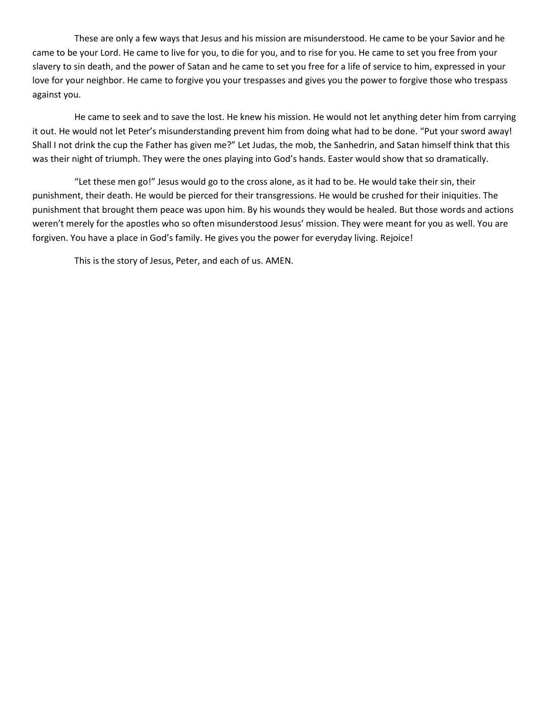These are only a few ways that Jesus and his mission are misunderstood. He came to be your Savior and he came to be your Lord. He came to live for you, to die for you, and to rise for you. He came to set you free from your slavery to sin death, and the power of Satan and he came to set you free for a life of service to him, expressed in your love for your neighbor. He came to forgive you your trespasses and gives you the power to forgive those who trespass against you.

He came to seek and to save the lost. He knew his mission. He would not let anything deter him from carrying it out. He would not let Peter's misunderstanding prevent him from doing what had to be done. "Put your sword away! Shall I not drink the cup the Father has given me?" Let Judas, the mob, the Sanhedrin, and Satan himself think that this was their night of triumph. They were the ones playing into God's hands. Easter would show that so dramatically.

"Let these men go!" Jesus would go to the cross alone, as it had to be. He would take their sin, their punishment, their death. He would be pierced for their transgressions. He would be crushed for their iniquities. The punishment that brought them peace was upon him. By his wounds they would be healed. But those words and actions weren't merely for the apostles who so often misunderstood Jesus' mission. They were meant for you as well. You are forgiven. You have a place in God's family. He gives you the power for everyday living. Rejoice!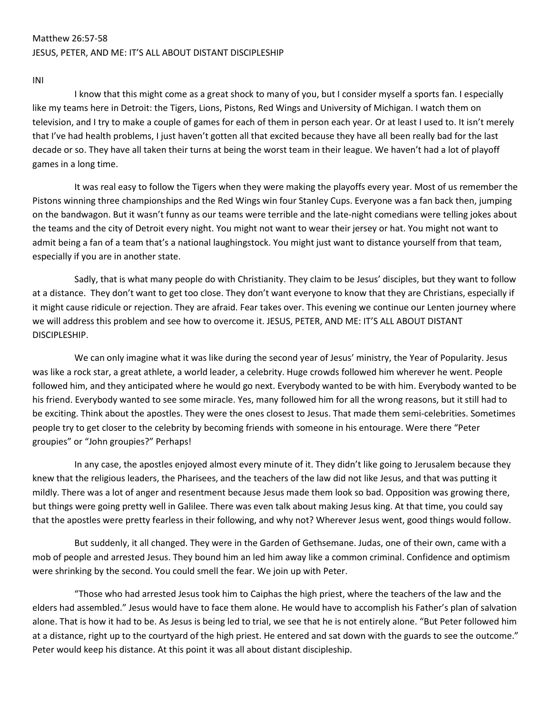# Matthew 26:57-58 JESUS, PETER, AND ME: IT'S ALL ABOUT DISTANT DISCIPLESHIP

INI

I know that this might come as a great shock to many of you, but I consider myself a sports fan. I especially like my teams here in Detroit: the Tigers, Lions, Pistons, Red Wings and University of Michigan. I watch them on television, and I try to make a couple of games for each of them in person each year. Or at least I used to. It isn't merely that I've had health problems, I just haven't gotten all that excited because they have all been really bad for the last decade or so. They have all taken their turns at being the worst team in their league. We haven't had a lot of playoff games in a long time.

It was real easy to follow the Tigers when they were making the playoffs every year. Most of us remember the Pistons winning three championships and the Red Wings win four Stanley Cups. Everyone was a fan back then, jumping on the bandwagon. But it wasn't funny as our teams were terrible and the late-night comedians were telling jokes about the teams and the city of Detroit every night. You might not want to wear their jersey or hat. You might not want to admit being a fan of a team that's a national laughingstock. You might just want to distance yourself from that team, especially if you are in another state.

Sadly, that is what many people do with Christianity. They claim to be Jesus' disciples, but they want to follow at a distance. They don't want to get too close. They don't want everyone to know that they are Christians, especially if it might cause ridicule or rejection. They are afraid. Fear takes over. This evening we continue our Lenten journey where we will address this problem and see how to overcome it. JESUS, PETER, AND ME: IT'S ALL ABOUT DISTANT DISCIPLESHIP.

We can only imagine what it was like during the second year of Jesus' ministry, the Year of Popularity. Jesus was like a rock star, a great athlete, a world leader, a celebrity. Huge crowds followed him wherever he went. People followed him, and they anticipated where he would go next. Everybody wanted to be with him. Everybody wanted to be his friend. Everybody wanted to see some miracle. Yes, many followed him for all the wrong reasons, but it still had to be exciting. Think about the apostles. They were the ones closest to Jesus. That made them semi-celebrities. Sometimes people try to get closer to the celebrity by becoming friends with someone in his entourage. Were there "Peter groupies" or "John groupies?" Perhaps!

In any case, the apostles enjoyed almost every minute of it. They didn't like going to Jerusalem because they knew that the religious leaders, the Pharisees, and the teachers of the law did not like Jesus, and that was putting it mildly. There was a lot of anger and resentment because Jesus made them look so bad. Opposition was growing there, but things were going pretty well in Galilee. There was even talk about making Jesus king. At that time, you could say that the apostles were pretty fearless in their following, and why not? Wherever Jesus went, good things would follow.

But suddenly, it all changed. They were in the Garden of Gethsemane. Judas, one of their own, came with a mob of people and arrested Jesus. They bound him an led him away like a common criminal. Confidence and optimism were shrinking by the second. You could smell the fear. We join up with Peter.

"Those who had arrested Jesus took him to Caiphas the high priest, where the teachers of the law and the elders had assembled." Jesus would have to face them alone. He would have to accomplish his Father's plan of salvation alone. That is how it had to be. As Jesus is being led to trial, we see that he is not entirely alone. "But Peter followed him at a distance, right up to the courtyard of the high priest. He entered and sat down with the guards to see the outcome." Peter would keep his distance. At this point it was all about distant discipleship.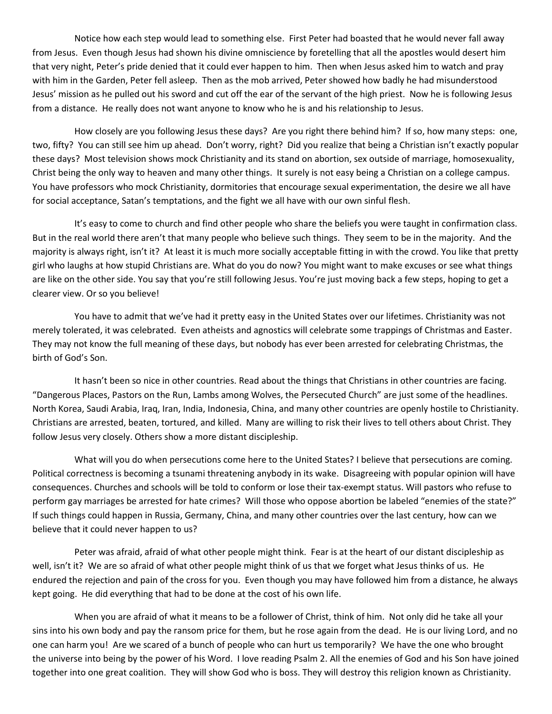Notice how each step would lead to something else. First Peter had boasted that he would never fall away from Jesus. Even though Jesus had shown his divine omniscience by foretelling that all the apostles would desert him that very night, Peter's pride denied that it could ever happen to him. Then when Jesus asked him to watch and pray with him in the Garden, Peter fell asleep. Then as the mob arrived, Peter showed how badly he had misunderstood Jesus' mission as he pulled out his sword and cut off the ear of the servant of the high priest. Now he is following Jesus from a distance. He really does not want anyone to know who he is and his relationship to Jesus.

How closely are you following Jesus these days? Are you right there behind him? If so, how many steps: one, two, fifty? You can still see him up ahead. Don't worry, right? Did you realize that being a Christian isn't exactly popular these days? Most television shows mock Christianity and its stand on abortion, sex outside of marriage, homosexuality, Christ being the only way to heaven and many other things. It surely is not easy being a Christian on a college campus. You have professors who mock Christianity, dormitories that encourage sexual experimentation, the desire we all have for social acceptance, Satan's temptations, and the fight we all have with our own sinful flesh.

It's easy to come to church and find other people who share the beliefs you were taught in confirmation class. But in the real world there aren't that many people who believe such things. They seem to be in the majority. And the majority is always right, isn't it? At least it is much more socially acceptable fitting in with the crowd. You like that pretty girl who laughs at how stupid Christians are. What do you do now? You might want to make excuses or see what things are like on the other side. You say that you're still following Jesus. You're just moving back a few steps, hoping to get a clearer view. Or so you believe!

You have to admit that we've had it pretty easy in the United States over our lifetimes. Christianity was not merely tolerated, it was celebrated. Even atheists and agnostics will celebrate some trappings of Christmas and Easter. They may not know the full meaning of these days, but nobody has ever been arrested for celebrating Christmas, the birth of God's Son.

It hasn't been so nice in other countries. Read about the things that Christians in other countries are facing. "Dangerous Places, Pastors on the Run, Lambs among Wolves, the Persecuted Church" are just some of the headlines. North Korea, Saudi Arabia, Iraq, Iran, India, Indonesia, China, and many other countries are openly hostile to Christianity. Christians are arrested, beaten, tortured, and killed. Many are willing to risk their lives to tell others about Christ. They follow Jesus very closely. Others show a more distant discipleship.

What will you do when persecutions come here to the United States? I believe that persecutions are coming. Political correctness is becoming a tsunami threatening anybody in its wake. Disagreeing with popular opinion will have consequences. Churches and schools will be told to conform or lose their tax-exempt status. Will pastors who refuse to perform gay marriages be arrested for hate crimes? Will those who oppose abortion be labeled "enemies of the state?" If such things could happen in Russia, Germany, China, and many other countries over the last century, how can we believe that it could never happen to us?

Peter was afraid, afraid of what other people might think. Fear is at the heart of our distant discipleship as well, isn't it? We are so afraid of what other people might think of us that we forget what Jesus thinks of us. He endured the rejection and pain of the cross for you. Even though you may have followed him from a distance, he always kept going. He did everything that had to be done at the cost of his own life.

When you are afraid of what it means to be a follower of Christ, think of him. Not only did he take all your sins into his own body and pay the ransom price for them, but he rose again from the dead. He is our living Lord, and no one can harm you! Are we scared of a bunch of people who can hurt us temporarily? We have the one who brought the universe into being by the power of his Word. I love reading Psalm 2. All the enemies of God and his Son have joined together into one great coalition. They will show God who is boss. They will destroy this religion known as Christianity.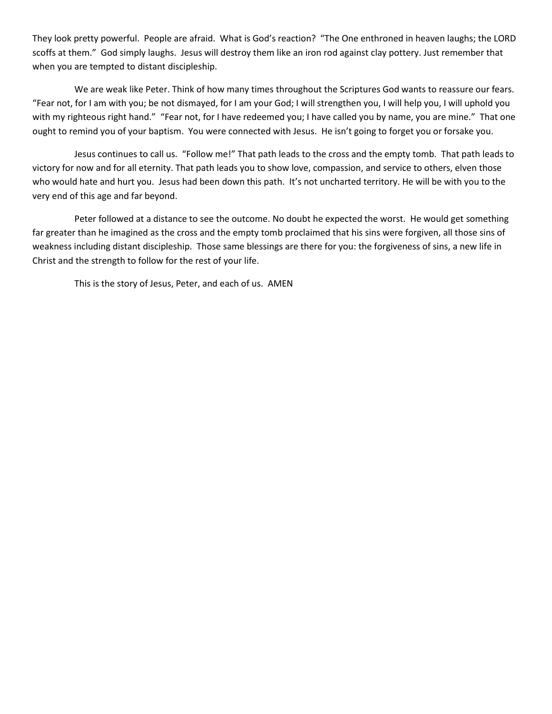They look pretty powerful. People are afraid. What is God's reaction? "The One enthroned in heaven laughs; the LORD scoffs at them." God simply laughs. Jesus will destroy them like an iron rod against clay pottery. Just remember that when you are tempted to distant discipleship.

We are weak like Peter. Think of how many times throughout the Scriptures God wants to reassure our fears. "Fear not, for I am with you; be not dismayed, for I am your God; I will strengthen you, I will help you, I will uphold you with my righteous right hand." "Fear not, for I have redeemed you; I have called you by name, you are mine." That one ought to remind you of your baptism. You were connected with Jesus. He isn't going to forget you or forsake you.

Jesus continues to call us. "Follow me!" That path leads to the cross and the empty tomb. That path leads to victory for now and for all eternity. That path leads you to show love, compassion, and service to others, elven those who would hate and hurt you. Jesus had been down this path. It's not uncharted territory. He will be with you to the very end of this age and far beyond.

Peter followed at a distance to see the outcome. No doubt he expected the worst. He would get something far greater than he imagined as the cross and the empty tomb proclaimed that his sins were forgiven, all those sins of weakness including distant discipleship. Those same blessings are there for you: the forgiveness of sins, a new life in Christ and the strength to follow for the rest of your life.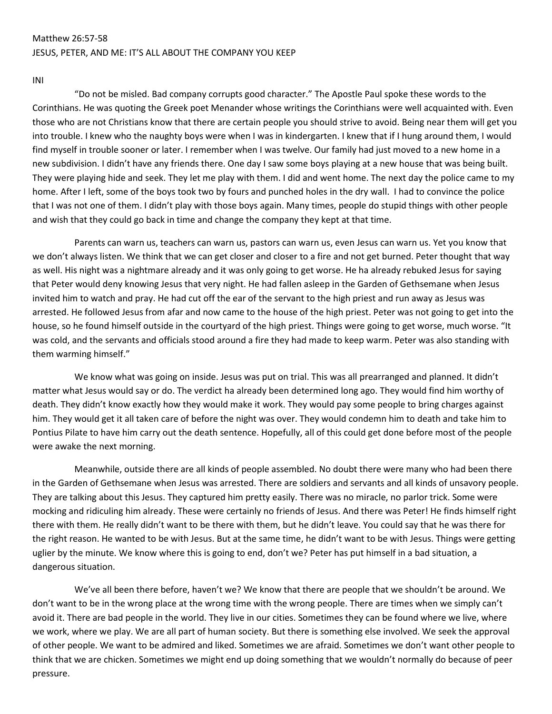# Matthew 26:57-58 JESUS, PETER, AND ME: IT'S ALL ABOUT THE COMPANY YOU KEEP

INI

"Do not be misled. Bad company corrupts good character." The Apostle Paul spoke these words to the Corinthians. He was quoting the Greek poet Menander whose writings the Corinthians were well acquainted with. Even those who are not Christians know that there are certain people you should strive to avoid. Being near them will get you into trouble. I knew who the naughty boys were when I was in kindergarten. I knew that if I hung around them, I would find myself in trouble sooner or later. I remember when I was twelve. Our family had just moved to a new home in a new subdivision. I didn't have any friends there. One day I saw some boys playing at a new house that was being built. They were playing hide and seek. They let me play with them. I did and went home. The next day the police came to my home. After I left, some of the boys took two by fours and punched holes in the dry wall. I had to convince the police that I was not one of them. I didn't play with those boys again. Many times, people do stupid things with other people and wish that they could go back in time and change the company they kept at that time.

Parents can warn us, teachers can warn us, pastors can warn us, even Jesus can warn us. Yet you know that we don't always listen. We think that we can get closer and closer to a fire and not get burned. Peter thought that way as well. His night was a nightmare already and it was only going to get worse. He ha already rebuked Jesus for saying that Peter would deny knowing Jesus that very night. He had fallen asleep in the Garden of Gethsemane when Jesus invited him to watch and pray. He had cut off the ear of the servant to the high priest and run away as Jesus was arrested. He followed Jesus from afar and now came to the house of the high priest. Peter was not going to get into the house, so he found himself outside in the courtyard of the high priest. Things were going to get worse, much worse. "It was cold, and the servants and officials stood around a fire they had made to keep warm. Peter was also standing with them warming himself."

We know what was going on inside. Jesus was put on trial. This was all prearranged and planned. It didn't matter what Jesus would say or do. The verdict ha already been determined long ago. They would find him worthy of death. They didn't know exactly how they would make it work. They would pay some people to bring charges against him. They would get it all taken care of before the night was over. They would condemn him to death and take him to Pontius Pilate to have him carry out the death sentence. Hopefully, all of this could get done before most of the people were awake the next morning.

Meanwhile, outside there are all kinds of people assembled. No doubt there were many who had been there in the Garden of Gethsemane when Jesus was arrested. There are soldiers and servants and all kinds of unsavory people. They are talking about this Jesus. They captured him pretty easily. There was no miracle, no parlor trick. Some were mocking and ridiculing him already. These were certainly no friends of Jesus. And there was Peter! He finds himself right there with them. He really didn't want to be there with them, but he didn't leave. You could say that he was there for the right reason. He wanted to be with Jesus. But at the same time, he didn't want to be with Jesus. Things were getting uglier by the minute. We know where this is going to end, don't we? Peter has put himself in a bad situation, a dangerous situation.

We've all been there before, haven't we? We know that there are people that we shouldn't be around. We don't want to be in the wrong place at the wrong time with the wrong people. There are times when we simply can't avoid it. There are bad people in the world. They live in our cities. Sometimes they can be found where we live, where we work, where we play. We are all part of human society. But there is something else involved. We seek the approval of other people. We want to be admired and liked. Sometimes we are afraid. Sometimes we don't want other people to think that we are chicken. Sometimes we might end up doing something that we wouldn't normally do because of peer pressure.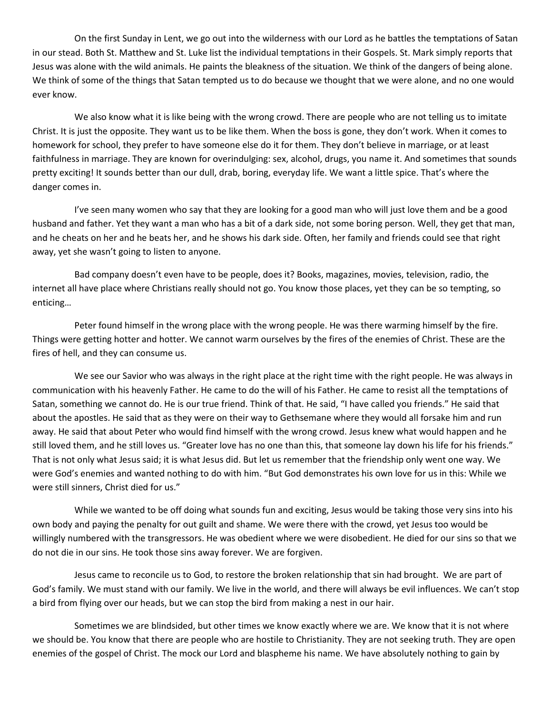On the first Sunday in Lent, we go out into the wilderness with our Lord as he battles the temptations of Satan in our stead. Both St. Matthew and St. Luke list the individual temptations in their Gospels. St. Mark simply reports that Jesus was alone with the wild animals. He paints the bleakness of the situation. We think of the dangers of being alone. We think of some of the things that Satan tempted us to do because we thought that we were alone, and no one would ever know.

We also know what it is like being with the wrong crowd. There are people who are not telling us to imitate Christ. It is just the opposite. They want us to be like them. When the boss is gone, they don't work. When it comes to homework for school, they prefer to have someone else do it for them. They don't believe in marriage, or at least faithfulness in marriage. They are known for overindulging: sex, alcohol, drugs, you name it. And sometimes that sounds pretty exciting! It sounds better than our dull, drab, boring, everyday life. We want a little spice. That's where the danger comes in.

I've seen many women who say that they are looking for a good man who will just love them and be a good husband and father. Yet they want a man who has a bit of a dark side, not some boring person. Well, they get that man, and he cheats on her and he beats her, and he shows his dark side. Often, her family and friends could see that right away, yet she wasn't going to listen to anyone.

Bad company doesn't even have to be people, does it? Books, magazines, movies, television, radio, the internet all have place where Christians really should not go. You know those places, yet they can be so tempting, so enticing…

Peter found himself in the wrong place with the wrong people. He was there warming himself by the fire. Things were getting hotter and hotter. We cannot warm ourselves by the fires of the enemies of Christ. These are the fires of hell, and they can consume us.

We see our Savior who was always in the right place at the right time with the right people. He was always in communication with his heavenly Father. He came to do the will of his Father. He came to resist all the temptations of Satan, something we cannot do. He is our true friend. Think of that. He said, "I have called you friends." He said that about the apostles. He said that as they were on their way to Gethsemane where they would all forsake him and run away. He said that about Peter who would find himself with the wrong crowd. Jesus knew what would happen and he still loved them, and he still loves us. "Greater love has no one than this, that someone lay down his life for his friends." That is not only what Jesus said; it is what Jesus did. But let us remember that the friendship only went one way. We were God's enemies and wanted nothing to do with him. "But God demonstrates his own love for us in this: While we were still sinners, Christ died for us."

While we wanted to be off doing what sounds fun and exciting, Jesus would be taking those very sins into his own body and paying the penalty for out guilt and shame. We were there with the crowd, yet Jesus too would be willingly numbered with the transgressors. He was obedient where we were disobedient. He died for our sins so that we do not die in our sins. He took those sins away forever. We are forgiven.

Jesus came to reconcile us to God, to restore the broken relationship that sin had brought. We are part of God's family. We must stand with our family. We live in the world, and there will always be evil influences. We can't stop a bird from flying over our heads, but we can stop the bird from making a nest in our hair.

Sometimes we are blindsided, but other times we know exactly where we are. We know that it is not where we should be. You know that there are people who are hostile to Christianity. They are not seeking truth. They are open enemies of the gospel of Christ. The mock our Lord and blaspheme his name. We have absolutely nothing to gain by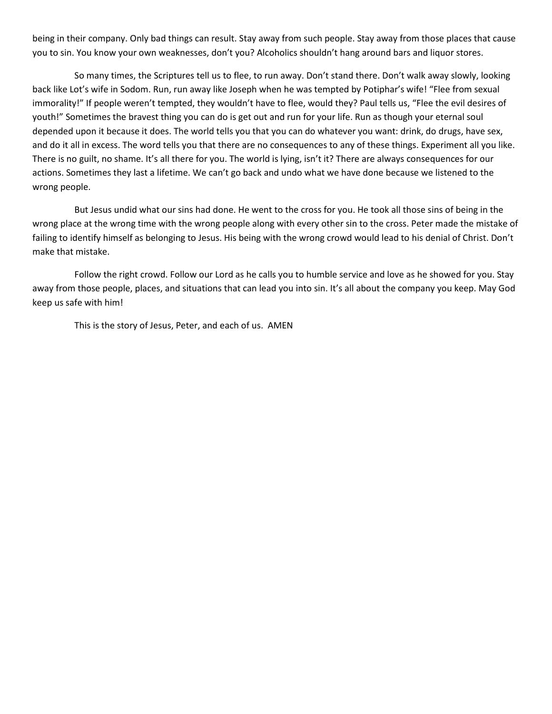being in their company. Only bad things can result. Stay away from such people. Stay away from those places that cause you to sin. You know your own weaknesses, don't you? Alcoholics shouldn't hang around bars and liquor stores.

So many times, the Scriptures tell us to flee, to run away. Don't stand there. Don't walk away slowly, looking back like Lot's wife in Sodom. Run, run away like Joseph when he was tempted by Potiphar's wife! "Flee from sexual immorality!" If people weren't tempted, they wouldn't have to flee, would they? Paul tells us, "Flee the evil desires of youth!" Sometimes the bravest thing you can do is get out and run for your life. Run as though your eternal soul depended upon it because it does. The world tells you that you can do whatever you want: drink, do drugs, have sex, and do it all in excess. The word tells you that there are no consequences to any of these things. Experiment all you like. There is no guilt, no shame. It's all there for you. The world is lying, isn't it? There are always consequences for our actions. Sometimes they last a lifetime. We can't go back and undo what we have done because we listened to the wrong people.

But Jesus undid what our sins had done. He went to the cross for you. He took all those sins of being in the wrong place at the wrong time with the wrong people along with every other sin to the cross. Peter made the mistake of failing to identify himself as belonging to Jesus. His being with the wrong crowd would lead to his denial of Christ. Don't make that mistake.

Follow the right crowd. Follow our Lord as he calls you to humble service and love as he showed for you. Stay away from those people, places, and situations that can lead you into sin. It's all about the company you keep. May God keep us safe with him!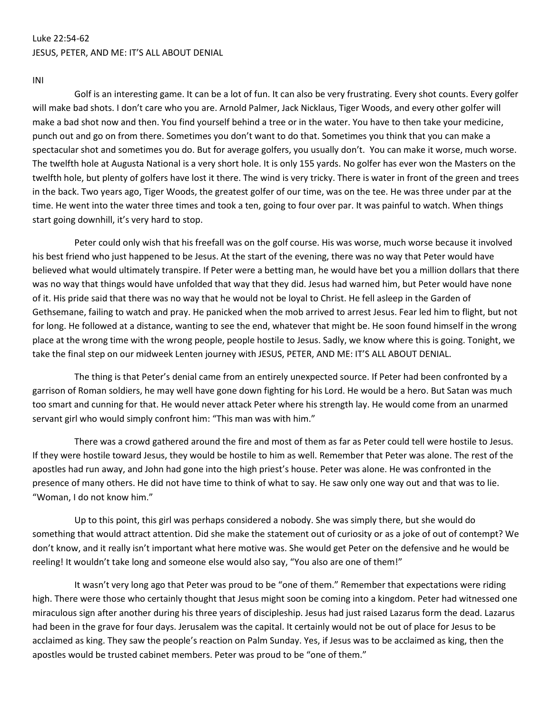## Luke 22:54-62 JESUS, PETER, AND ME: IT'S ALL ABOUT DENIAL

INI

Golf is an interesting game. It can be a lot of fun. It can also be very frustrating. Every shot counts. Every golfer will make bad shots. I don't care who you are. Arnold Palmer, Jack Nicklaus, Tiger Woods, and every other golfer will make a bad shot now and then. You find yourself behind a tree or in the water. You have to then take your medicine, punch out and go on from there. Sometimes you don't want to do that. Sometimes you think that you can make a spectacular shot and sometimes you do. But for average golfers, you usually don't. You can make it worse, much worse. The twelfth hole at Augusta National is a very short hole. It is only 155 yards. No golfer has ever won the Masters on the twelfth hole, but plenty of golfers have lost it there. The wind is very tricky. There is water in front of the green and trees in the back. Two years ago, Tiger Woods, the greatest golfer of our time, was on the tee. He was three under par at the time. He went into the water three times and took a ten, going to four over par. It was painful to watch. When things start going downhill, it's very hard to stop.

Peter could only wish that his freefall was on the golf course. His was worse, much worse because it involved his best friend who just happened to be Jesus. At the start of the evening, there was no way that Peter would have believed what would ultimately transpire. If Peter were a betting man, he would have bet you a million dollars that there was no way that things would have unfolded that way that they did. Jesus had warned him, but Peter would have none of it. His pride said that there was no way that he would not be loyal to Christ. He fell asleep in the Garden of Gethsemane, failing to watch and pray. He panicked when the mob arrived to arrest Jesus. Fear led him to flight, but not for long. He followed at a distance, wanting to see the end, whatever that might be. He soon found himself in the wrong place at the wrong time with the wrong people, people hostile to Jesus. Sadly, we know where this is going. Tonight, we take the final step on our midweek Lenten journey with JESUS, PETER, AND ME: IT'S ALL ABOUT DENIAL.

The thing is that Peter's denial came from an entirely unexpected source. If Peter had been confronted by a garrison of Roman soldiers, he may well have gone down fighting for his Lord. He would be a hero. But Satan was much too smart and cunning for that. He would never attack Peter where his strength lay. He would come from an unarmed servant girl who would simply confront him: "This man was with him."

There was a crowd gathered around the fire and most of them as far as Peter could tell were hostile to Jesus. If they were hostile toward Jesus, they would be hostile to him as well. Remember that Peter was alone. The rest of the apostles had run away, and John had gone into the high priest's house. Peter was alone. He was confronted in the presence of many others. He did not have time to think of what to say. He saw only one way out and that was to lie. "Woman, I do not know him."

Up to this point, this girl was perhaps considered a nobody. She was simply there, but she would do something that would attract attention. Did she make the statement out of curiosity or as a joke of out of contempt? We don't know, and it really isn't important what here motive was. She would get Peter on the defensive and he would be reeling! It wouldn't take long and someone else would also say, "You also are one of them!"

It wasn't very long ago that Peter was proud to be "one of them." Remember that expectations were riding high. There were those who certainly thought that Jesus might soon be coming into a kingdom. Peter had witnessed one miraculous sign after another during his three years of discipleship. Jesus had just raised Lazarus form the dead. Lazarus had been in the grave for four days. Jerusalem was the capital. It certainly would not be out of place for Jesus to be acclaimed as king. They saw the people's reaction on Palm Sunday. Yes, if Jesus was to be acclaimed as king, then the apostles would be trusted cabinet members. Peter was proud to be "one of them."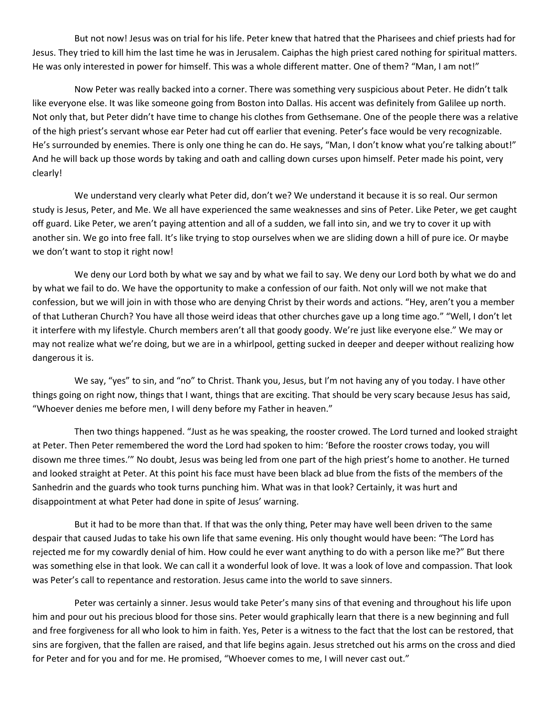But not now! Jesus was on trial for his life. Peter knew that hatred that the Pharisees and chief priests had for Jesus. They tried to kill him the last time he was in Jerusalem. Caiphas the high priest cared nothing for spiritual matters. He was only interested in power for himself. This was a whole different matter. One of them? "Man, I am not!"

Now Peter was really backed into a corner. There was something very suspicious about Peter. He didn't talk like everyone else. It was like someone going from Boston into Dallas. His accent was definitely from Galilee up north. Not only that, but Peter didn't have time to change his clothes from Gethsemane. One of the people there was a relative of the high priest's servant whose ear Peter had cut off earlier that evening. Peter's face would be very recognizable. He's surrounded by enemies. There is only one thing he can do. He says, "Man, I don't know what you're talking about!" And he will back up those words by taking and oath and calling down curses upon himself. Peter made his point, very clearly!

We understand very clearly what Peter did, don't we? We understand it because it is so real. Our sermon study is Jesus, Peter, and Me. We all have experienced the same weaknesses and sins of Peter. Like Peter, we get caught off guard. Like Peter, we aren't paying attention and all of a sudden, we fall into sin, and we try to cover it up with another sin. We go into free fall. It's like trying to stop ourselves when we are sliding down a hill of pure ice. Or maybe we don't want to stop it right now!

We deny our Lord both by what we say and by what we fail to say. We deny our Lord both by what we do and by what we fail to do. We have the opportunity to make a confession of our faith. Not only will we not make that confession, but we will join in with those who are denying Christ by their words and actions. "Hey, aren't you a member of that Lutheran Church? You have all those weird ideas that other churches gave up a long time ago." "Well, I don't let it interfere with my lifestyle. Church members aren't all that goody goody. We're just like everyone else." We may or may not realize what we're doing, but we are in a whirlpool, getting sucked in deeper and deeper without realizing how dangerous it is.

We say, "yes" to sin, and "no" to Christ. Thank you, Jesus, but I'm not having any of you today. I have other things going on right now, things that I want, things that are exciting. That should be very scary because Jesus has said, "Whoever denies me before men, I will deny before my Father in heaven."

Then two things happened. "Just as he was speaking, the rooster crowed. The Lord turned and looked straight at Peter. Then Peter remembered the word the Lord had spoken to him: 'Before the rooster crows today, you will disown me three times.'" No doubt, Jesus was being led from one part of the high priest's home to another. He turned and looked straight at Peter. At this point his face must have been black ad blue from the fists of the members of the Sanhedrin and the guards who took turns punching him. What was in that look? Certainly, it was hurt and disappointment at what Peter had done in spite of Jesus' warning.

But it had to be more than that. If that was the only thing, Peter may have well been driven to the same despair that caused Judas to take his own life that same evening. His only thought would have been: "The Lord has rejected me for my cowardly denial of him. How could he ever want anything to do with a person like me?" But there was something else in that look. We can call it a wonderful look of love. It was a look of love and compassion. That look was Peter's call to repentance and restoration. Jesus came into the world to save sinners.

Peter was certainly a sinner. Jesus would take Peter's many sins of that evening and throughout his life upon him and pour out his precious blood for those sins. Peter would graphically learn that there is a new beginning and full and free forgiveness for all who look to him in faith. Yes, Peter is a witness to the fact that the lost can be restored, that sins are forgiven, that the fallen are raised, and that life begins again. Jesus stretched out his arms on the cross and died for Peter and for you and for me. He promised, "Whoever comes to me, I will never cast out."